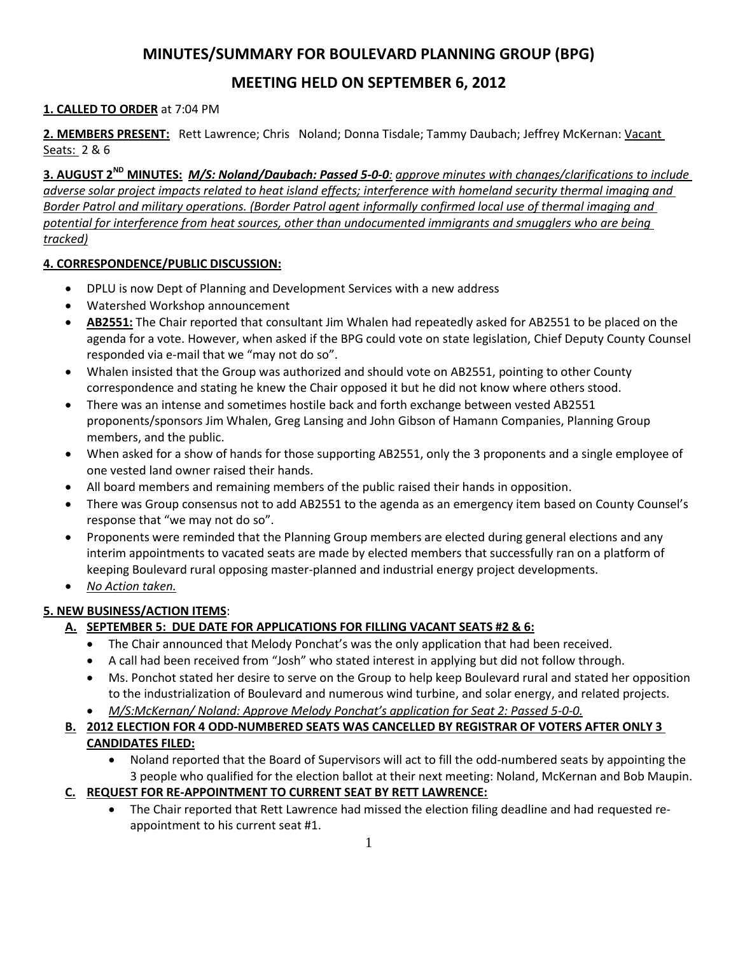# **MINUTES/SUMMARY FOR BOULEVARD PLANNING GROUP (BPG)**

## **MEETING HELD ON SEPTEMBER 6, 2012**

## **1. CALLED TO ORDER** at 7:04 PM

**2. MEMBERS PRESENT:** Rett Lawrence; Chris Noland; Donna Tisdale; Tammy Daubach; Jeffrey McKernan: Vacant Seats: 2 & 6

**3. AUGUST 2ND MINUTES:** *M/S: Noland/Daubach: Passed 5-0-0: approve minutes with changes/clarifications to include adverse solar project impacts related to heat island effects; interference with homeland security thermal imaging and Border Patrol and military operations. (Border Patrol agent informally confirmed local use of thermal imaging and potential for interference from heat sources, other than undocumented immigrants and smugglers who are being tracked)*

### **4. CORRESPONDENCE/PUBLIC DISCUSSION:**

- DPLU is now Dept of Planning and Development Services with a new address
- Watershed Workshop announcement
- **AB2551:** The Chair reported that consultant Jim Whalen had repeatedly asked for AB2551 to be placed on the agenda for a vote. However, when asked if the BPG could vote on state legislation, Chief Deputy County Counsel responded via e-mail that we "may not do so".
- Whalen insisted that the Group was authorized and should vote on AB2551, pointing to other County correspondence and stating he knew the Chair opposed it but he did not know where others stood.
- There was an intense and sometimes hostile back and forth exchange between vested AB2551 proponents/sponsors Jim Whalen, Greg Lansing and John Gibson of Hamann Companies, Planning Group members, and the public.
- When asked for a show of hands for those supporting AB2551, only the 3 proponents and a single employee of one vested land owner raised their hands.
- All board members and remaining members of the public raised their hands in opposition.
- There was Group consensus not to add AB2551 to the agenda as an emergency item based on County Counsel's response that "we may not do so".
- Proponents were reminded that the Planning Group members are elected during general elections and any interim appointments to vacated seats are made by elected members that successfully ran on a platform of keeping Boulevard rural opposing master-planned and industrial energy project developments.
- *No Action taken.*

## **5. NEW BUSINESS/ACTION ITEMS**:

## **A. SEPTEMBER 5: DUE DATE FOR APPLICATIONS FOR FILLING VACANT SEATS #2 & 6:**

- The Chair announced that Melody Ponchat's was the only application that had been received.
- A call had been received from "Josh" who stated interest in applying but did not follow through.
- Ms. Ponchot stated her desire to serve on the Group to help keep Boulevard rural and stated her opposition to the industrialization of Boulevard and numerous wind turbine, and solar energy, and related projects.
- *M/S:McKernan/ Noland: Approve Melody Ponchat's application for Seat 2: Passed 5-0-0.*
- **B. 2012 ELECTION FOR 4 ODD-NUMBERED SEATS WAS CANCELLED BY REGISTRAR OF VOTERS AFTER ONLY 3 CANDIDATES FILED:**
	- Noland reported that the Board of Supervisors will act to fill the odd-numbered seats by appointing the 3 people who qualified for the election ballot at their next meeting: Noland, McKernan and Bob Maupin.
- **C. REQUEST FOR RE-APPOINTMENT TO CURRENT SEAT BY RETT LAWRENCE:**
	- The Chair reported that Rett Lawrence had missed the election filing deadline and had requested reappointment to his current seat #1.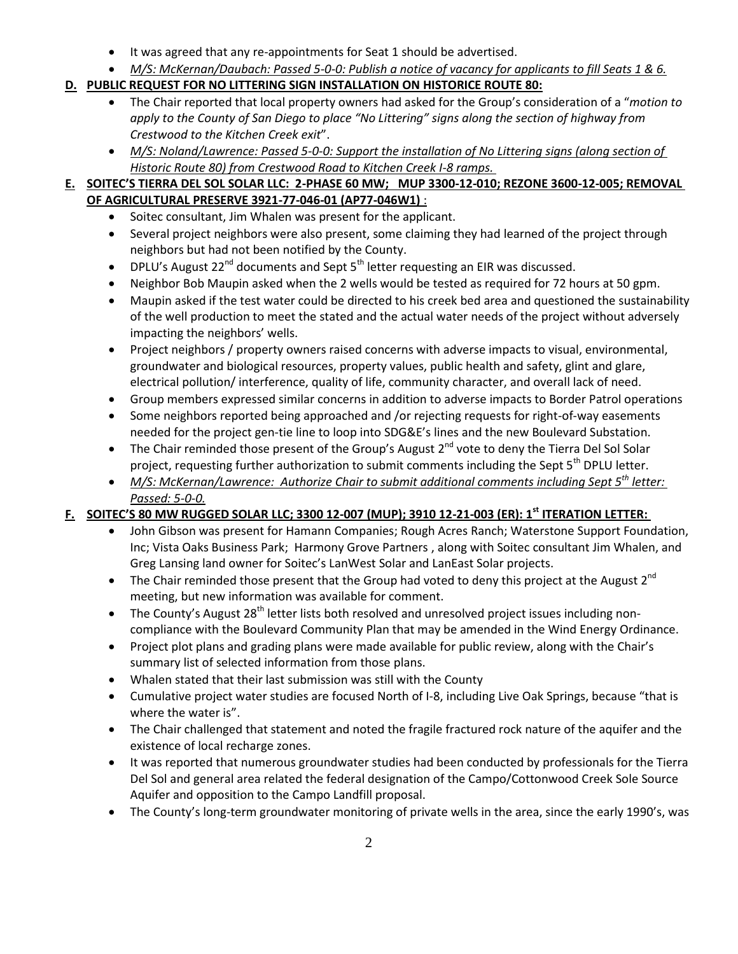- It was agreed that any re-appointments for Seat 1 should be advertised.
- *M/S: McKernan/Daubach: Passed 5-0-0: Publish a notice of vacancy for applicants to fill Seats 1 & 6.*

## **D. PUBLIC REQUEST FOR NO LITTERING SIGN INSTALLATION ON HISTORICE ROUTE 80:**

- The Chair reported that local property owners had asked for the Group's consideration of a "*motion to apply to the County of San Diego to place "No Littering" signs along the section of highway from Crestwood to the Kitchen Creek exit*".
- *M/S: Noland/Lawrence: Passed 5-0-0: Support the installation of No Littering signs (along section of Historic Route 80) from Crestwood Road to Kitchen Creek I-8 ramps.*

## **E. SOITEC'S TIERRA DEL SOL SOLAR LLC: 2-PHASE 60 MW; MUP 3300-12-010; REZONE 3600-12-005; REMOVAL OF AGRICULTURAL PRESERVE 3921-77-046-01 (AP77-046W1)** :

- Soitec consultant, Jim Whalen was present for the applicant.
- Several project neighbors were also present, some claiming they had learned of the project through neighbors but had not been notified by the County.
- DPLU's August  $22^{nd}$  documents and Sept  $5^{th}$  letter requesting an EIR was discussed.
- Neighbor Bob Maupin asked when the 2 wells would be tested as required for 72 hours at 50 gpm.
- Maupin asked if the test water could be directed to his creek bed area and questioned the sustainability of the well production to meet the stated and the actual water needs of the project without adversely impacting the neighbors' wells.
- Project neighbors / property owners raised concerns with adverse impacts to visual, environmental, groundwater and biological resources, property values, public health and safety, glint and glare, electrical pollution/ interference, quality of life, community character, and overall lack of need.
- Group members expressed similar concerns in addition to adverse impacts to Border Patrol operations
- Some neighbors reported being approached and /or rejecting requests for right-of-way easements needed for the project gen-tie line to loop into SDG&E's lines and the new Boulevard Substation.
- The Chair reminded those present of the Group's August  $2^{nd}$  vote to deny the Tierra Del Sol Solar project, requesting further authorization to submit comments including the Sept  $5<sup>th</sup>$  DPLU letter.
- *M/S: McKernan/Lawrence: Authorize Chair to submit additional comments including Sept 5th letter: Passed: 5-0-0.*

## **F. SOITEC'S 80 MW RUGGED SOLAR LLC; 3300 12-007 (MUP); 3910 12-21-003 (ER): 1st ITERATION LETTER:**

- John Gibson was present for Hamann Companies; Rough Acres Ranch; Waterstone Support Foundation, Inc; Vista Oaks Business Park; Harmony Grove Partners , along with Soitec consultant Jim Whalen, and Greg Lansing land owner for Soitec's LanWest Solar and LanEast Solar projects.
- The Chair reminded those present that the Group had voted to deny this project at the August 2<sup>nd</sup> meeting, but new information was available for comment.
- The County's August 28<sup>th</sup> letter lists both resolved and unresolved project issues including noncompliance with the Boulevard Community Plan that may be amended in the Wind Energy Ordinance.
- Project plot plans and grading plans were made available for public review, along with the Chair's summary list of selected information from those plans.
- Whalen stated that their last submission was still with the County
- Cumulative project water studies are focused North of I-8, including Live Oak Springs, because "that is where the water is".
- The Chair challenged that statement and noted the fragile fractured rock nature of the aquifer and the existence of local recharge zones.
- It was reported that numerous groundwater studies had been conducted by professionals for the Tierra Del Sol and general area related the federal designation of the Campo/Cottonwood Creek Sole Source Aquifer and opposition to the Campo Landfill proposal.
- The County's long-term groundwater monitoring of private wells in the area, since the early 1990's, was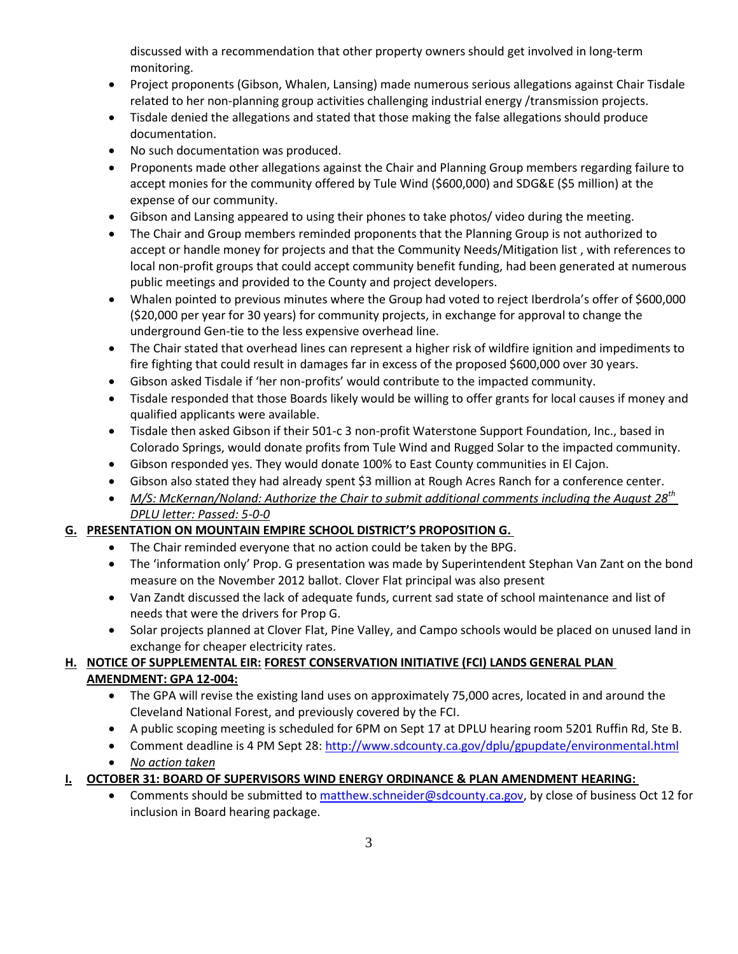discussed with a recommendation that other property owners should get involved in long-term monitoring.

- Project proponents (Gibson, Whalen, Lansing) made numerous serious allegations against Chair Tisdale related to her non-planning group activities challenging industrial energy /transmission projects.
- Tisdale denied the allegations and stated that those making the false allegations should produce documentation.
- No such documentation was produced.
- Proponents made other allegations against the Chair and Planning Group members regarding failure to accept monies for the community offered by Tule Wind (\$600,000) and SDG&E (\$5 million) at the expense of our community.
- Gibson and Lansing appeared to using their phones to take photos/ video during the meeting.
- The Chair and Group members reminded proponents that the Planning Group is not authorized to accept or handle money for projects and that the Community Needs/Mitigation list , with references to local non-profit groups that could accept community benefit funding, had been generated at numerous public meetings and provided to the County and project developers.
- Whalen pointed to previous minutes where the Group had voted to reject Iberdrola's offer of \$600,000 (\$20,000 per year for 30 years) for community projects, in exchange for approval to change the underground Gen-tie to the less expensive overhead line.
- The Chair stated that overhead lines can represent a higher risk of wildfire ignition and impediments to fire fighting that could result in damages far in excess of the proposed \$600,000 over 30 years.
- Gibson asked Tisdale if 'her non-profits' would contribute to the impacted community.
- Tisdale responded that those Boards likely would be willing to offer grants for local causes if money and qualified applicants were available.
- Tisdale then asked Gibson if their 501-c 3 non-profit Waterstone Support Foundation, Inc., based in Colorado Springs, would donate profits from Tule Wind and Rugged Solar to the impacted community.
- Gibson responded yes. They would donate 100% to East County communities in El Cajon.
- Gibson also stated they had already spent \$3 million at Rough Acres Ranch for a conference center.
- *M/S: McKernan/Noland: Authorize the Chair to submit additional comments including the August 28th DPLU letter: Passed: 5-0-0*

## **G. PRESENTATION ON MOUNTAIN EMPIRE SCHOOL DISTRICT'S PROPOSITION G.**

- The Chair reminded everyone that no action could be taken by the BPG.
- The 'information only' Prop. G presentation was made by Superintendent Stephan Van Zant on the bond measure on the November 2012 ballot. Clover Flat principal was also present
- Van Zandt discussed the lack of adequate funds, current sad state of school maintenance and list of needs that were the drivers for Prop G.
- Solar projects planned at Clover Flat, Pine Valley, and Campo schools would be placed on unused land in exchange for cheaper electricity rates.

## **H. NOTICE OF SUPPLEMENTAL EIR: FOREST CONSERVATION INITIATIVE (FCI) LANDS GENERAL PLAN AMENDMENT: GPA 12-004:**

- The GPA will revise the existing land uses on approximately 75,000 acres, located in and around the Cleveland National Forest, and previously covered by the FCI.
- A public scoping meeting is scheduled for 6PM on Sept 17 at DPLU hearing room 5201 Ruffin Rd, Ste B.
- Comment deadline is 4 PM Sept 28:<http://www.sdcounty.ca.gov/dplu/gpupdate/environmental.html>
- *No action taken*
- **I. OCTOBER 31: BOARD OF SUPERVISORS WIND ENERGY ORDINANCE & PLAN AMENDMENT HEARING:**
	- Comments should be submitted t[o matthew.schneider@sdcounty.ca.gov,](mailto:matthew.schneider@sdcounty.ca.gov) by close of business Oct 12 for inclusion in Board hearing package.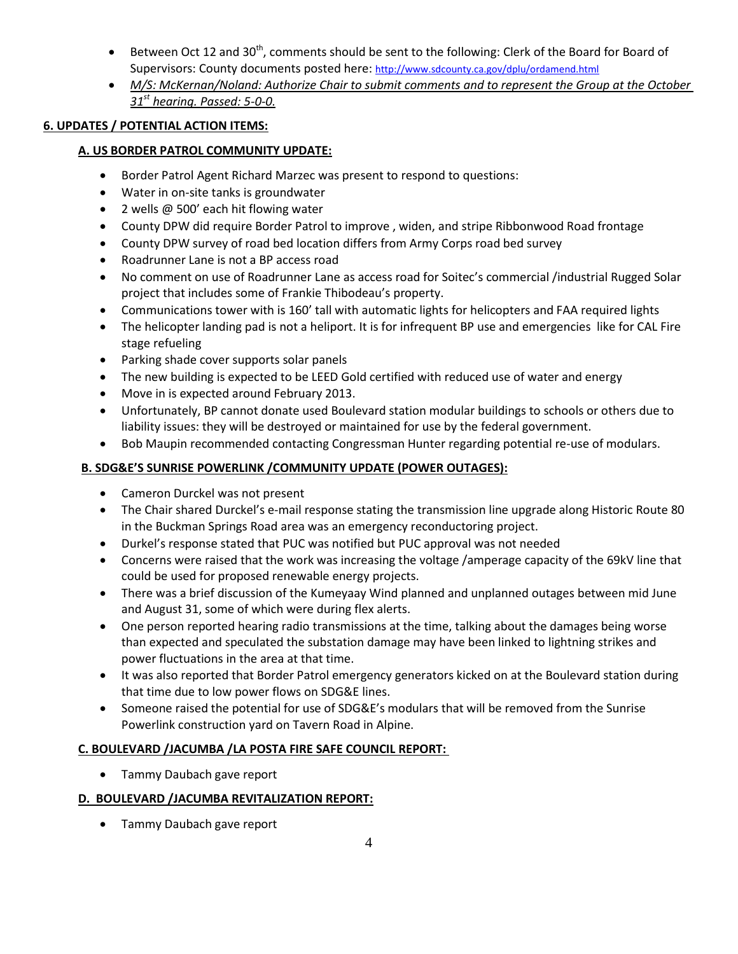- Between Oct 12 and 30<sup>th</sup>, comments should be sent to the following: Clerk of the Board for Board of Supervisors: County documents posted here: <http://www.sdcounty.ca.gov/dplu/ordamend.html>
- *M/S: McKernan/Noland: Authorize Chair to submit comments and to represent the Group at the October 31st hearing. Passed: 5-0-0.*

## **6. UPDATES / POTENTIAL ACTION ITEMS:**

#### **A. US BORDER PATROL COMMUNITY UPDATE:**

- Border Patrol Agent Richard Marzec was present to respond to questions:
- Water in on-site tanks is groundwater
- 2 wells @ 500' each hit flowing water
- County DPW did require Border Patrol to improve , widen, and stripe Ribbonwood Road frontage
- County DPW survey of road bed location differs from Army Corps road bed survey
- Roadrunner Lane is not a BP access road
- No comment on use of Roadrunner Lane as access road for Soitec's commercial /industrial Rugged Solar project that includes some of Frankie Thibodeau's property.
- Communications tower with is 160' tall with automatic lights for helicopters and FAA required lights
- The helicopter landing pad is not a heliport. It is for infrequent BP use and emergencies like for CAL Fire stage refueling
- Parking shade cover supports solar panels
- The new building is expected to be LEED Gold certified with reduced use of water and energy
- Move in is expected around February 2013.
- Unfortunately, BP cannot donate used Boulevard station modular buildings to schools or others due to liability issues: they will be destroyed or maintained for use by the federal government.
- Bob Maupin recommended contacting Congressman Hunter regarding potential re-use of modulars.

### **B. SDG&E'S SUNRISE POWERLINK /COMMUNITY UPDATE (POWER OUTAGES):**

- Cameron Durckel was not present
- The Chair shared Durckel's e-mail response stating the transmission line upgrade along Historic Route 80 in the Buckman Springs Road area was an emergency reconductoring project.
- Durkel's response stated that PUC was notified but PUC approval was not needed
- Concerns were raised that the work was increasing the voltage /amperage capacity of the 69kV line that could be used for proposed renewable energy projects.
- There was a brief discussion of the Kumeyaay Wind planned and unplanned outages between mid June and August 31, some of which were during flex alerts.
- One person reported hearing radio transmissions at the time, talking about the damages being worse than expected and speculated the substation damage may have been linked to lightning strikes and power fluctuations in the area at that time.
- It was also reported that Border Patrol emergency generators kicked on at the Boulevard station during that time due to low power flows on SDG&E lines.
- Someone raised the potential for use of SDG&E's modulars that will be removed from the Sunrise Powerlink construction yard on Tavern Road in Alpine.

#### **C. BOULEVARD /JACUMBA /LA POSTA FIRE SAFE COUNCIL REPORT:**

• Tammy Daubach gave report

#### **D. BOULEVARD /JACUMBA REVITALIZATION REPORT:**

• Tammy Daubach gave report